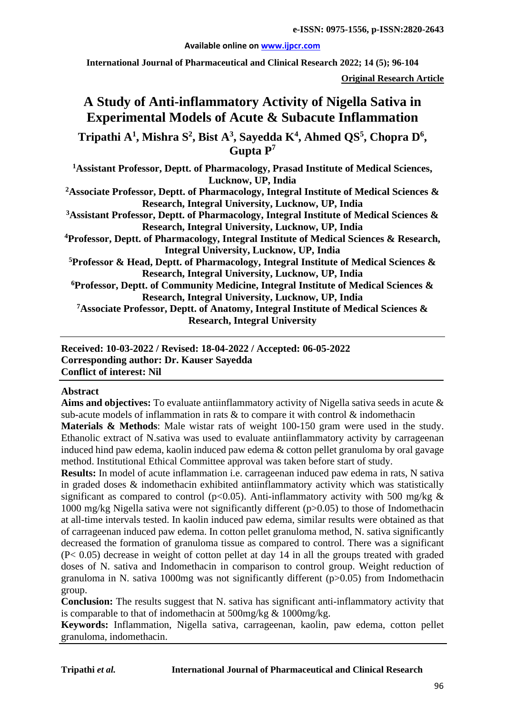#### **Available online on [www.ijpcr.com](http://www.ijpcr.com/)**

**International Journal of Pharmaceutical and Clinical Research 2022; 14 (5); 96-104**

**Original Research Article**

# **A Study of Anti-inflammatory Activity of Nigella Sativa in Experimental Models of Acute & Subacute Inflammation**

**Tripathi A1 , Mishra S<sup>2</sup> , Bist A3 , Sayedda K4 , Ahmed QS<sup>5</sup> , Chopra D<sup>6</sup> , Gupta P7**

**1 Assistant Professor, Deptt. of Pharmacology, Prasad Institute of Medical Sciences, Lucknow, UP, India**

**2Associate Professor, Deptt. of Pharmacology, Integral Institute of Medical Sciences & Research, Integral University, Lucknow, UP, India**

**3 Assistant Professor, Deptt. of Pharmacology, Integral Institute of Medical Sciences & Research, Integral University, Lucknow, UP, India**

**4 Professor, Deptt. of Pharmacology, Integral Institute of Medical Sciences & Research, Integral University, Lucknow, UP, India**

**5 Professor & Head, Deptt. of Pharmacology, Integral Institute of Medical Sciences & Research, Integral University, Lucknow, UP, India**

**6Professor, Deptt. of Community Medicine, Integral Institute of Medical Sciences & Research, Integral University, Lucknow, UP, India**

**7Associate Professor, Deptt. of Anatomy, Integral Institute of Medical Sciences & Research, Integral University**

**Received: 10-03-2022 / Revised: 18-04-2022 / Accepted: 06-05-2022 Corresponding author: Dr. Kauser Sayedda Conflict of interest: Nil**

#### **Abstract**

**Aims and objectives:** To evaluate antiinflammatory activity of Nigella sativa seeds in acute & sub-acute models of inflammation in rats & to compare it with control & indomethacin

**Materials & Methods**: Male wistar rats of weight 100-150 gram were used in the study. Ethanolic extract of N.sativa was used to evaluate antiinflammatory activity by carrageenan induced hind paw edema, kaolin induced paw edema & cotton pellet granuloma by oral gavage method. Institutional Ethical Committee approval was taken before start of study.

**Results:** In model of acute inflammation i.e. carrageenan induced paw edema in rats, N sativa in graded doses & indomethacin exhibited antiinflammatory activity which was statistically significant as compared to control ( $p<0.05$ ). Anti-inflammatory activity with 500 mg/kg & 1000 mg/kg Nigella sativa were not significantly different (p>0.05) to those of Indomethacin at all-time intervals tested. In kaolin induced paw edema, similar results were obtained as that of carrageenan induced paw edema. In cotton pellet granuloma method, N. sativa significantly decreased the formation of granuloma tissue as compared to control. There was a significant (P< 0.05) decrease in weight of cotton pellet at day 14 in all the groups treated with graded doses of N. sativa and Indomethacin in comparison to control group. Weight reduction of granuloma in N. sativa 1000mg was not significantly different (p>0.05) from Indomethacin group.

**Conclusion:** The results suggest that N. sativa has significant anti-inflammatory activity that is comparable to that of indomethacin at 500mg/kg & 1000mg/kg.

**Keywords:** Inflammation, Nigella sativa, carrageenan, kaolin, paw edema, cotton pellet granuloma, indomethacin.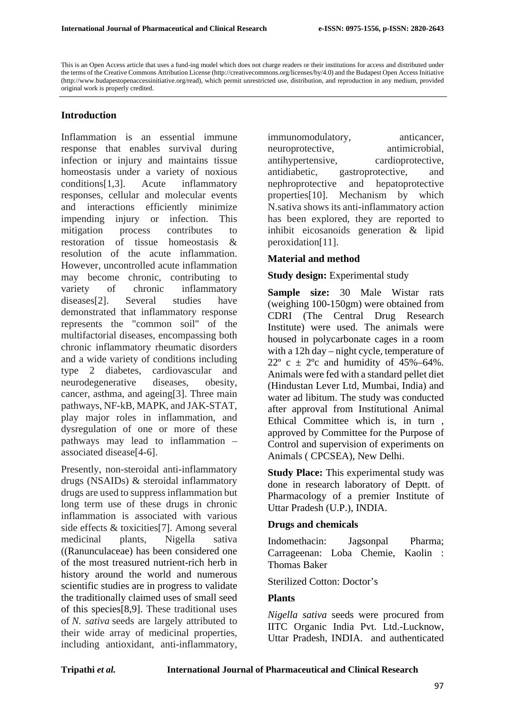### **Introduction**

Inflammation is an essential immune response that enables survival during infection or injury and maintains tissue homeostasis under a variety of noxious conditions[1,3]. Acute inflammatory responses, cellular and molecular events and interactions efficiently minimize impending injury or infection. This mitigation process contributes to restoration of tissue homeostasis & resolution of the acute inflammation. However, uncontrolled acute inflammation may become chronic, contributing to variety of chronic inflammatory diseases[2]. Several studies have demonstrated that inflammatory response represents the "common soil" of the multifactorial diseases, encompassing both chronic inflammatory rheumatic disorders and a wide variety of conditions including type 2 diabetes, cardiovascular and neurodegenerative diseases, obesity, cancer, asthma, and ageing[3]. Three main pathways, NF-kB, MAPK, and JAK-STAT, play major roles in inflammation, and dysregulation of one or more of these pathways may lead to inflammation – associated disease[4-6].

Presently, non-steroidal anti-inflammatory drugs (NSAIDs) & steroidal inflammatory drugs are used to suppress inflammation but long term use of these drugs in chronic inflammation is associated with various side effects & toxicities[7]. Among several medicinal plants, Nigella sativa ((Ranunculaceae) has been considered one of the most treasured nutrient-rich herb in history around the world and numerous scientific studies are in progress to validate the traditionally claimed uses of small seed of this species[8,9]. These traditional uses of *N. sativa* seeds are largely attributed to their wide array of medicinal properties, including antioxidant, anti-inflammatory, immunomodulatory, anticancer, neuroprotective, antimicrobial, antihypertensive, cardioprotective, antidiabetic, gastroprotective, and nephroprotective and hepatoprotective properties[10]. Mechanism by which N.sativa shows its anti-inflammatory action has been explored, they are reported to inhibit eicosanoids generation & lipid peroxidation[11].

### **Material and method**

#### **Study design:** Experimental study

**Sample size:** 30 Male Wistar rats (weighing 100-150gm) were obtained from CDRI (The Central Drug Research Institute) were used. The animals were housed in polycarbonate cages in a room with a 12h day – night cycle, temperature of  $22^{\circ}$  c  $\pm$  2°c and humidity of 45%–64%. Animals were fed with a standard pellet diet (Hindustan Lever Ltd, Mumbai, India) and water ad libitum. The study was conducted after approval from Institutional Animal Ethical Committee which is, in turn , approved by Committee for the Purpose of Control and supervision of experiments on Animals ( CPCSEA), New Delhi.

**Study Place:** This experimental study was done in research laboratory of Deptt. of Pharmacology of a premier Institute of Uttar Pradesh (U.P.), INDIA.

### **Drugs and chemicals**

Indomethacin: Jagsonpal Pharma; Carrageenan: Loba Chemie, Kaolin : Thomas Baker

### Sterilized Cotton: Doctor's

## **Plants**

*Nigella sativa* seeds were procured from IITC Organic India Pvt. Ltd.-Lucknow, Uttar Pradesh, INDIA. and authenticated

This is an Open Access article that uses a fund-ing model which does not charge readers or their institutions for access and distributed under the terms of the Creative Commons Attribution License (http://creativecommons.org/licenses/by/4.0) and the Budapest Open Access Initiative (http://www.budapestopenaccessinitiative.org/read), which permit unrestricted use, distribution, and reproduction in any medium, provided original work is properly credited.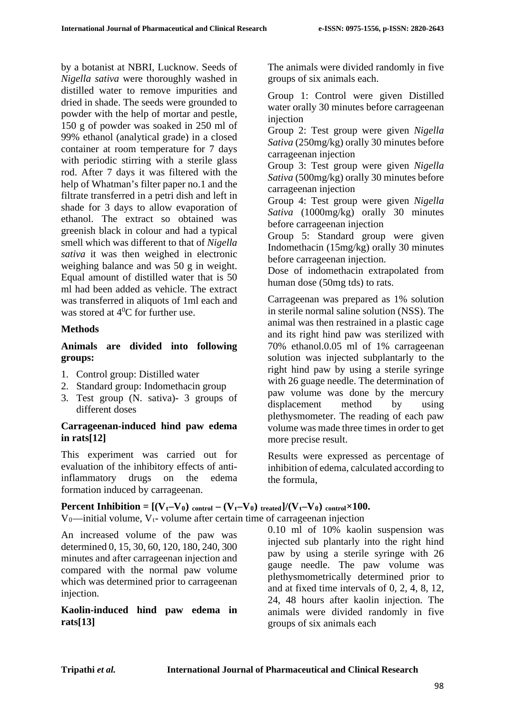by a botanist at NBRI, Lucknow. Seeds of *Nigella sativa* were thoroughly washed in distilled water to remove impurities and dried in shade. The seeds were grounded to powder with the help of mortar and pestle, 150 g of powder was soaked in 250 ml of 99% ethanol (analytical grade) in a closed container at room temperature for 7 days with periodic stirring with a sterile glass rod. After 7 days it was filtered with the help of Whatman's filter paper no.1 and the filtrate transferred in a petri dish and left in shade for 3 days to allow evaporation of ethanol. The extract so obtained was greenish black in colour and had a typical smell which was different to that of *Nigella sativa* it was then weighed in electronic weighing balance and was 50 g in weight. Equal amount of distilled water that is 50 ml had been added as vehicle. The extract was transferred in aliquots of 1ml each and was stored at  $4^0C$  for further use.

## **Methods**

## **Animals are divided into following groups:**

- 1. Control group: Distilled water
- 2. Standard group: Indomethacin group
- 3. Test group (N. sativa)- 3 groups of different doses

## **Carrageenan-induced hind paw edema in rats[12]**

This experiment was carried out for evaluation of the inhibitory effects of antiinflammatory drugs on the edema formation induced by carrageenan.

The animals were divided randomly in five groups of six animals each.

Group 1: Control were given Distilled water orally 30 minutes before carrageenan injection

Group 2: Test group were given *Nigella Sativa* (250mg/kg) orally 30 minutes before carrageenan injection

Group 3: Test group were given *Nigella Sativa* (500mg/kg) orally 30 minutes before carrageenan injection

Group 4: Test group were given *Nigella Sativa* (1000mg/kg) orally 30 minutes before carrageenan injection

Group 5: Standard group were given Indomethacin (15mg/kg) orally 30 minutes before carrageenan injection.

Dose of indomethacin extrapolated from human dose (50mg tds) to rats.

Carrageenan was prepared as 1% solution in sterile normal saline solution (NSS). The animal was then restrained in a plastic cage and its right hind paw was sterilized with 70% ethanol.0.05 ml of 1% carrageenan solution was injected subplantarly to the right hind paw by using a sterile syringe with 26 guage needle. The determination of paw volume was done by the mercury displacement method by using plethysmometer. The reading of each paw volume was made three times in order to get more precise result.

Results were expressed as percentage of inhibition of edema, calculated according to the formula,

**Percent Inhibition =**  $[(V_t-V_0)_{\text{control}} - (V_t-V_0)_{\text{treated}}]/(V_t-V_0)_{\text{control}} \times 100$ **.** V<sub>0</sub>—initial volume, V<sub>t</sub>- volume after certain time of carrageenan injection

An increased volume of the paw was determined 0, 15, 30, 60, 120, 180, 240, 300 minutes and after carrageenan injection and compared with the normal paw volume which was determined prior to carrageenan injection.

## **Kaolin-induced hind paw edema in rats[13]**

0.10 ml of 10% kaolin suspension was injected sub plantarly into the right hind paw by using a sterile syringe with 26 gauge needle. The paw volume was plethysmometrically determined prior to and at fixed time intervals of 0, 2, 4, 8, 12, 24, 48 hours after kaolin injection. The animals were divided randomly in five groups of six animals each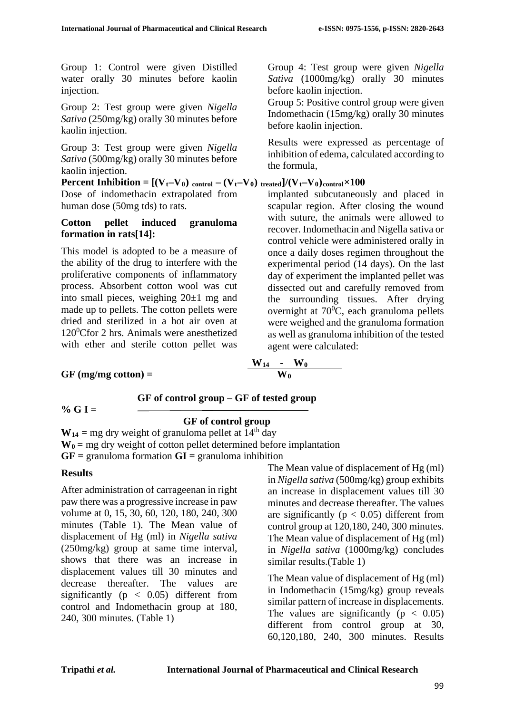Group 1: Control were given Distilled water orally 30 minutes before kaolin injection.

Group 2: Test group were given *Nigella Sativa* (250mg/kg) orally 30 minutes before kaolin injection.

Group 3: Test group were given *Nigella Sativa* (500mg/kg) orally 30 minutes before kaolin injection.

**Percent Inhibition =**  $[(V_t-V_0)_{control} - (V_t-V_0)_{treated}]/(V_t-V_0)_{control} \times 100$ Dose of indomethacin extrapolated from human dose (50mg tds) to rats*.*

## **Cotton pellet induced granuloma formation in rats[14]:**

This model is adopted to be a measure of the ability of the drug to interfere with the proliferative components of inflammatory process. Absorbent cotton wool was cut into small pieces, weighing  $20 \pm 1$  mg and made up to pellets. The cotton pellets were dried and sterilized in a hot air oven at 1200 Cfor 2 hrs. Animals were anesthetized with ether and sterile cotton pellet was

Group 4: Test group were given *Nigella Sativa* (1000mg/kg) orally 30 minutes before kaolin injection.

Group 5: Positive control group were given Indomethacin (15mg/kg) orally 30 minutes before kaolin injection.

Results were expressed as percentage of inhibition of edema, calculated according to the formula,

implanted subcutaneously and placed in scapular region. After closing the wound with suture, the animals were allowed to recover. Indomethacin and Nigella sativa or control vehicle were administered orally in once a daily doses regimen throughout the experimental period (14 days). On the last day of experiment the implanted pellet was dissected out and carefully removed from the surrounding tissues. After drying overnight at  $70^0$ C, each granuloma pellets were weighed and the granuloma formation as well as granuloma inhibition of the tested agent were calculated:

## $GF (mg/mg cotton) =$

$$
g/mg \cot \theta = \frac{W_{14} - W_0}{W_0}
$$

 **GF of control group – GF of tested group**

## **% G I =**

## **GF of control group**

 $W_{14}$  = mg dry weight of granuloma pellet at 14<sup>th</sup> day  $W_0$  = mg dry weight of cotton pellet determined before implantation **GF =** granuloma formation **GI =** granuloma inhibition

## **Results**

After administration of carrageenan in right paw there was a progressive increase in paw volume at 0, 15, 30, 60, 120, 180, 240, 300 minutes (Table 1). The Mean value of displacement of Hg (ml) in *Nigella sativa* (250mg/kg) group at same time interval, shows that there was an increase in displacement values till 30 minutes and decrease thereafter. The values are significantly ( $p < 0.05$ ) different from control and Indomethacin group at 180, 240, 300 minutes. (Table 1)

The Mean value of displacement of Hg (ml) in *Nigella sativa* (500mg/kg) group exhibits an increase in displacement values till 30 minutes and decrease thereafter. The values are significantly ( $p < 0.05$ ) different from control group at 120,180, 240, 300 minutes. The Mean value of displacement of Hg (ml) in *Nigella sativa* (1000mg/kg) concludes similar results.(Table 1)

The Mean value of displacement of Hg (ml) in Indomethacin (15mg/kg) group reveals similar pattern of increase in displacements. The values are significantly ( $p < 0.05$ ) different from control group at 30, 60,120,180, 240, 300 minutes. Results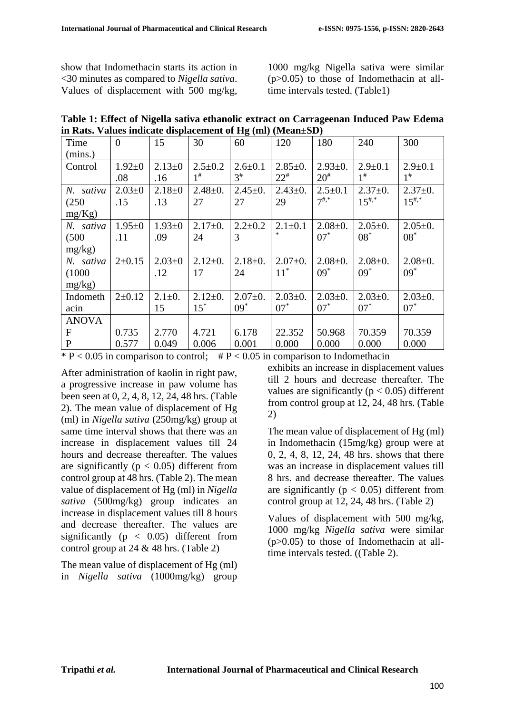show that Indomethacin starts its action in <30 minutes as compared to *Nigella sativa*. Values of displacement with 500 mg/kg, 1000 mg/kg Nigella sativa were similar (p>0.05) to those of Indomethacin at alltime intervals tested. (Table1)

| Table 1: Effect of Nigella sativa ethanolic extract on Carrageenan Induced Paw Edema |  |
|--------------------------------------------------------------------------------------|--|
| in Rats. Values indicate displacement of $Hg$ (ml) (Mean $\pm SD$ )                  |  |

| Time         | $\overline{0}$ | 15           | 30            | 60            | 120           | 180           | 240           | 300           |
|--------------|----------------|--------------|---------------|---------------|---------------|---------------|---------------|---------------|
| (mins.)      |                |              |               |               |               |               |               |               |
| Control      | $1.92 \pm 0$   | $2.13 \pm 0$ | $2.5 \pm 0.2$ | $2.6 \pm 0.1$ | $2.85 \pm 0.$ | $2.93 \pm 0.$ | $2.9 \pm 0.1$ | $2.9 + 0.1$   |
|              | .08            | .16          | $1^{\#}$      | $3^{\#}$      | $22^{#}$      | $20^{#}$      | $1^{\#}$      | $1^{\#}$      |
| N. sativa    | $2.03 \pm 0$   | $2.18 + 0$   | $2.48 \pm 0.$ | $2.45 \pm 0.$ | $2.43 \pm 0.$ | $2.5 \pm 0.1$ | $2.37 \pm 0.$ | $2.37+0.$     |
| (250)        | .15            | .13          | 27            | 27            | 29            | $7^{#,*}$     | $15^{#,*}$    | $15^{#,*}$    |
| mg/Kg)       |                |              |               |               |               |               |               |               |
| N. sativa    | $1.95 \pm 0$   | $1.93 \pm 0$ | $2.17+0.$     | $2.2 \pm 0.2$ | $2.1 \pm 0.1$ | $2.08 \pm 0.$ | $2.05 \pm 0.$ | $2.05 \pm 0.$ |
| (500)        | .11            | .09          | 24            | 3             | $\ast$        | $07*$         | $08^*$        | $08*$         |
| mg/kg)       |                |              |               |               |               |               |               |               |
| N. sativa    | $2 \pm 0.15$   | $2.03 \pm 0$ | $2.12 \pm 0.$ | $2.18+0.$     | $2.07 \pm 0.$ | $2.08 \pm 0.$ | $2.08 \pm 0.$ | $2.08 \pm 0.$ |
| (1000)       |                | .12          | 17            | 24            | $11^*$        | $09*$         | $09*$         | $09*$         |
| mg/kg)       |                |              |               |               |               |               |               |               |
| Indometh     | $2+0.12$       | $2.1 \pm 0.$ | $2.12 \pm 0.$ | $2.07 \pm 0.$ | $2.03 \pm 0.$ | $2.03 \pm 0.$ | $2.03 \pm 0.$ | $2.03 \pm 0.$ |
| acin         |                | 15           | $15^*$        | $09*$         | $07^*$        | $07*$         | $07*$         | $07*$         |
| <b>ANOVA</b> |                |              |               |               |               |               |               |               |
| F            | 0.735          | 2.770        | 4.721         | 6.178         | 22.352        | 50.968        | 70.359        | 70.359        |
| $\mathbf{P}$ | 0.577          | 0.049        | 0.006         | 0.001         | 0.000         | 0.000         | 0.000         | 0.000         |

\* P < 0.05 in comparison to control;  $\#$  P < 0.05 in comparison to Indomethacin

After administration of kaolin in right paw, a progressive increase in paw volume has been seen at 0, 2, 4, 8, 12, 24, 48 hrs. (Table 2). The mean value of displacement of Hg (ml) in *Nigella sativa* (250mg/kg) group at same time interval shows that there was an increase in displacement values till 24 hours and decrease thereafter. The values are significantly ( $p < 0.05$ ) different from control group at 48 hrs. (Table 2). The mean value of displacement of Hg (ml) in *Nigella sativa* (500mg/kg) group indicates an increase in displacement values till 8 hours and decrease thereafter. The values are significantly ( $p < 0.05$ ) different from control group at 24 & 48 hrs. (Table 2)

The mean value of displacement of Hg (ml) in *Nigella sativa* (1000mg/kg) group exhibits an increase in displacement values till 2 hours and decrease thereafter. The values are significantly ( $p < 0.05$ ) different from control group at 12, 24, 48 hrs. (Table 2)

The mean value of displacement of Hg (ml) in Indomethacin (15mg/kg) group were at 0, 2, 4, 8, 12, 24, 48 hrs. shows that there was an increase in displacement values till 8 hrs. and decrease thereafter. The values are significantly ( $p < 0.05$ ) different from control group at 12, 24, 48 hrs. (Table 2)

Values of displacement with 500 mg/kg, 1000 mg/kg *Nigella sativa* were similar (p>0.05) to those of Indomethacin at alltime intervals tested. ((Table 2).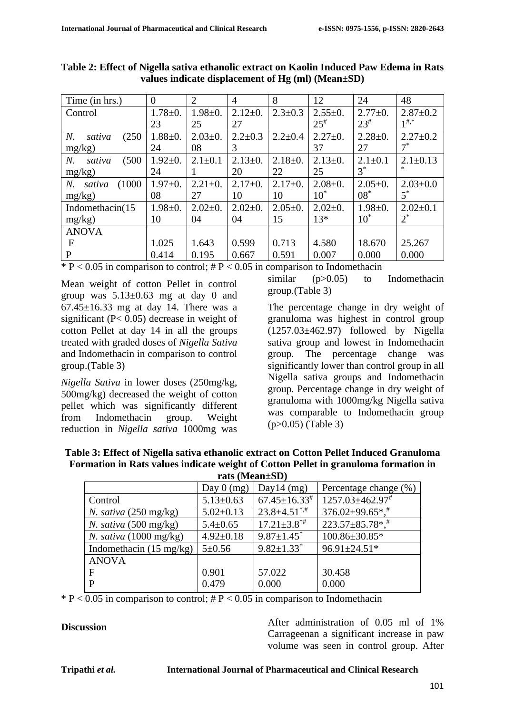| Time (in hrs.)         | $\overline{0}$ | $\overline{2}$ | $\overline{4}$ | 8             | 12            | 24            | 48             |
|------------------------|----------------|----------------|----------------|---------------|---------------|---------------|----------------|
| Control                | $1.78 + 0.$    | $1.98 + 0.$    | $2.12 \pm 0.$  | $2.3 \pm 0.3$ | $2.55 \pm 0.$ | $2.77+0.$     | $2.87 \pm 0.2$ |
|                        | 23             | 25             | 27             |               | $25^{\#}$     | $23^{\#}$     | $1^{#,*}$      |
| N.<br>(250)<br>sativa  | $1.88 + 0.$    | $2.03 \pm 0.$  | $2.2 \pm 0.3$  | $2.2 \pm 0.4$ | $2.27 \pm 0.$ | $2.28 \pm 0.$ | $2.27 \pm 0.2$ |
| mg/kg)                 | 24             | 08             | 3              |               | 37            | 27            | $7^*$          |
| (500)<br>N.<br>sativa  | $1.92 \pm 0.$  | $2.1 \pm 0.1$  | $2.13 \pm 0.$  | $2.18 \pm 0.$ | $2.13 \pm 0.$ | $2.1 \pm 0.1$ | $2.1 \pm 0.13$ |
| mg/kg)                 | 24             |                | 20             | 22            | 25            | $3^*$         |                |
| (1000)<br>N.<br>sativa | $1.97 \pm 0.$  | $2.21 \pm 0.$  | $2.17+0.$      | $2.17+0.$     | $2.08 \pm 0.$ | $2.05 \pm 0.$ | $2.03 \pm 0.0$ |
| $mg/kg$ )              | 08             | 27             | 10             | 10            | $10^*$        | $08*$         | $5^*$          |
| Indomethacin(15        | $1.98 + 0.$    | $2.02 \pm 0.$  | $2.02 \pm 0.$  | $2.05 \pm 0.$ | $2.02 \pm 0.$ | $1.98 + 0.$   | $2.02 \pm 0.1$ |
| mg/kg)                 | 10             | 04             | 04             | 15            | $13*$         | $10^*$        | $2^*$          |
| <b>ANOVA</b>           |                |                |                |               |               |               |                |
| F                      | 1.025          | 1.643          | 0.599          | 0.713         | 4.580         | 18.670        | 25.267         |
| P                      | 0.414          | 0.195          | 0.667          | 0.591         | 0.007         | 0.000         | 0.000          |

**Table 2: Effect of Nigella sativa ethanolic extract on Kaolin Induced Paw Edema in Rats values indicate displacement of Hg (ml) (Mean±SD)**

 $* P < 0.05$  in comparison to control; # P  $< 0.05$  in comparison to Indomethacin

Mean weight of cotton Pellet in control group was  $5.13\pm0.63$  mg at day 0 and  $67.45\pm16.33$  mg at day 14. There was a significant (P< 0.05) decrease in weight of cotton Pellet at day 14 in all the groups treated with graded doses of *Nigella Sativa* and Indomethacin in comparison to control group.(Table 3)

*Nigella Sativa* in lower doses (250mg/kg, 500mg/kg) decreased the weight of cotton pellet which was significantly different from Indomethacin group. Weight reduction in *Nigella sativa* 1000mg was

similar (p>0.05) to Indomethacin group.(Table 3)

The percentage change in dry weight of granuloma was highest in control group (1257.03±462.97) followed by Nigella sativa group and lowest in Indomethacin group. The percentage change was significantly lower than control group in all Nigella sativa groups and Indomethacin group. Percentage change in dry weight of granuloma with 1000mg/kg Nigella sativa was comparable to Indomethacin group (p>0.05) (Table 3)

| Table 3: Effect of Nigella sativa ethanolic extract on Cotton Pellet Induced Granuloma |
|----------------------------------------------------------------------------------------|
| Formation in Rats values indicate weight of Cotton Pellet in granuloma formation in    |
| $\mathbf{m}$ (Moss $(\mathbf{M})$                                                      |

| rais (Mean±SD)                    |                      |                                |                        |  |  |  |
|-----------------------------------|----------------------|--------------------------------|------------------------|--|--|--|
|                                   | Day $0 \text{ (mg)}$ | Day14 $(mg)$                   | Percentage change (%)  |  |  |  |
| Control                           | $5.13 \pm 0.63$      | $67.45 \pm 16.33^*$            | 1257.03±462.97#        |  |  |  |
| N. sativa $(250 \text{ mg/kg})$   | $5.02 \pm 0.13$      | $23.8 \pm 4.51$ <sup>*,#</sup> | $376.02 \pm 99.65$ *,* |  |  |  |
| N. sativa $(500 \text{ mg/kg})$   | $5.4 \pm 0.65$       | $17.21 \pm 3.8$ <sup>*#</sup>  | $223.57 \pm 85.78$ *,* |  |  |  |
| N. sativa $(1000 \text{ mg/kg})$  | $4.92 \pm 0.18$      | $9.87 \pm 1.45$                | 100.86±30.85*          |  |  |  |
| Indomethacin $(15 \text{ mg/kg})$ | $5 \pm 0.56$         | $9.82 \pm 1.33$ <sup>*</sup>   | 96.91±24.51*           |  |  |  |
| <b>ANOVA</b>                      |                      |                                |                        |  |  |  |
| F                                 | 0.901                | 57.022                         | 30.458                 |  |  |  |
| P                                 | 0.479                | 0.000                          | 0.000                  |  |  |  |
|                                   |                      |                                |                        |  |  |  |

 $* P < 0.05$  in comparison to control;  $\# P < 0.05$  in comparison to Indomethacin

**Discussion** After administration of 0.05 ml of 1% Carrageenan a significant increase in paw volume was seen in control group. After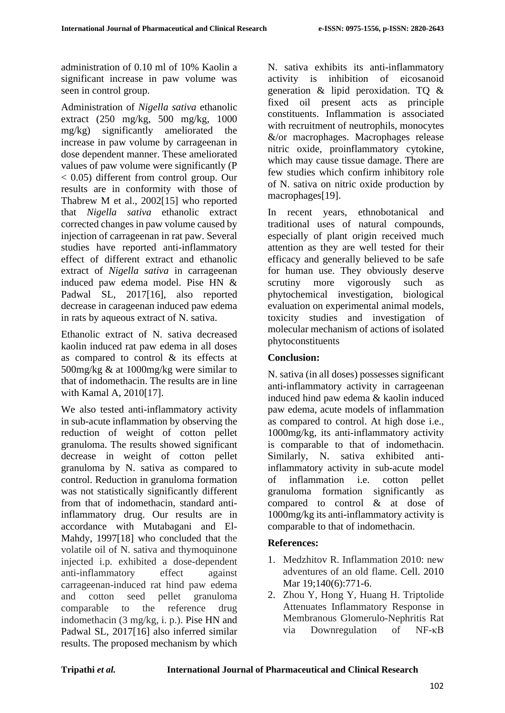administration of 0.10 ml of 10% Kaolin a significant increase in paw volume was seen in control group.

Administration of *Nigella sativa* ethanolic extract (250 mg/kg, 500 mg/kg, 1000 mg/kg) significantly ameliorated the increase in paw volume by carrageenan in dose dependent manner. These ameliorated values of paw volume were significantly (P < 0.05) different from control group. Our results are in conformity with those of Thabrew M et al., 2002[15] who reported that *Nigella sativa* ethanolic extract corrected changes in paw volume caused by injection of carrageenan in rat paw. Several studies have reported anti-inflammatory effect of different extract and ethanolic extract of *Nigella sativa* in carrageenan induced paw edema model. Pise HN & Padwal SL, 2017[16], also reported decrease in carageenan induced paw edema in rats by aqueous extract of N. sativa.

Ethanolic extract of N. sativa decreased kaolin induced rat paw edema in all doses as compared to control & its effects at 500mg/kg & at 1000mg/kg were similar to that of indomethacin. The results are in line with Kamal A, 2010[17].

We also tested anti-inflammatory activity in sub-acute inflammation by observing the reduction of weight of cotton pellet granuloma. The results showed significant decrease in weight of cotton pellet granuloma by N. sativa as compared to control. Reduction in granuloma formation was not statistically significantly different from that of indomethacin, standard antiinflammatory drug. Our results are in accordance with Mutabagani and El-Mahdy, 1997[18] who concluded that the volatile oil of N. sativa and thymoquinone injected i.p. exhibited a dose-dependent anti-inflammatory effect against carrageenan-induced rat hind paw edema and cotton seed pellet granuloma comparable to the reference drug indomethacin (3 mg/kg, i. p.). Pise HN and Padwal SL, 2017[16] also inferred similar results. The proposed mechanism by which N. sativa exhibits its anti-inflammatory activity is inhibition of eicosanoid generation & lipid peroxidation. TQ & fixed oil present acts as principle constituents. Inflammation is associated with recruitment of neutrophils, monocytes &/or macrophages. Macrophages release nitric oxide, proinflammatory cytokine, which may cause tissue damage. There are few studies which confirm inhibitory role of N. sativa on nitric oxide production by macrophages[19].

In recent years, ethnobotanical and traditional uses of natural compounds, especially of plant origin received much attention as they are well tested for their efficacy and generally believed to be safe for human use. They obviously deserve scrutiny more vigorously such as phytochemical investigation, biological evaluation on experimental animal models, toxicity studies and investigation of molecular mechanism of actions of isolated phytoconstituents

## **Conclusion:**

N. sativa (in all doses) possesses significant anti-inflammatory activity in carrageenan induced hind paw edema & kaolin induced paw edema, acute models of inflammation as compared to control. At high dose i.e., 1000mg/kg, its anti-inflammatory activity is comparable to that of indomethacin. Similarly, N. sativa exhibited antiinflammatory activity in sub-acute model of inflammation i.e. cotton pellet granuloma formation significantly as compared to control & at dose of 1000mg/kg its anti-inflammatory activity is comparable to that of indomethacin.

## **References:**

- 1. Medzhitov R. Inflammation 2010: new adventures of an old flame. Cell. 2010 Mar 19;140(6):771-6.
- 2. Zhou Y, Hong Y, Huang H. Triptolide Attenuates Inflammatory Response in Membranous Glomerulo-Nephritis Rat via Downregulation of NF-κB